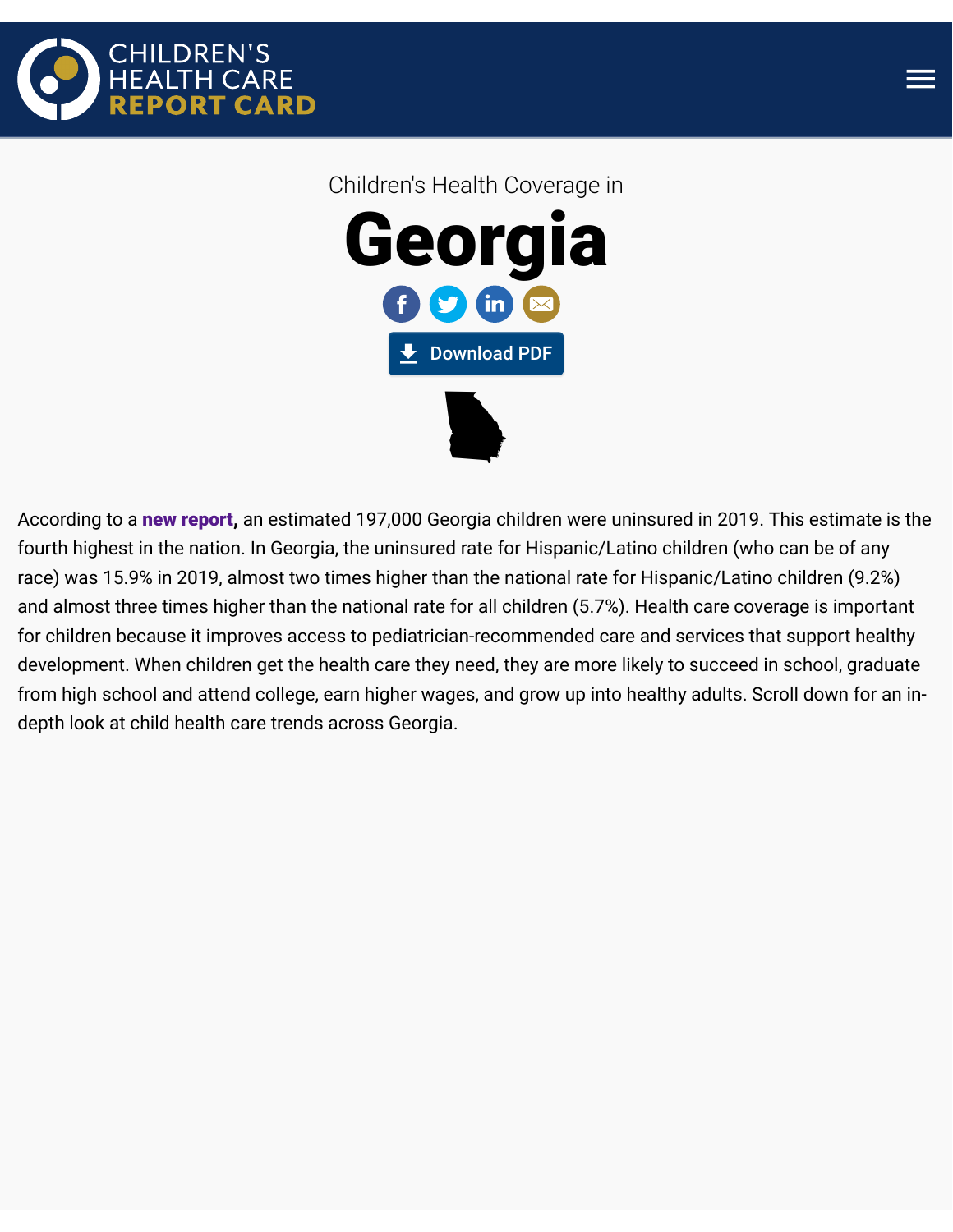



Children's Health Coverage in Georgia **L** [Download PDF](https://kidshealthcarereport.ccf.georgetown.edu/wp-content/uploads/2020/10/Georgia-%E2%80%94-Childrens-Health-Coverage-Report-Card.pdf)  $\blacktriangleright$ 

According to a [new report,](https://ccf.georgetown.edu/2020/10/08/childrens-uninsured-rate-rises-by-largest-annual-jump-in-more-than-a-decade-2/) an estimated 197,000 Georgia children were uninsured in 2019. This estimate is the fourth highest in the nation. In Georgia, the uninsured rate for Hispanic/Latino children (who can be of any race) was 15.9% in 2019, almost two times higher than the national rate for Hispanic/Latino children (9.2%) and almost three times higher than the national rate for all children (5.7%). Health care coverage is important for children because it improves access to pediatrician-recommended care and services that support healthy development. When children get the health care they need, they are more likely to succeed in school, graduate from high school and attend college, earn higher wages, and grow up into healthy adults. Scroll down for an indepth look at child health care trends across Georgia.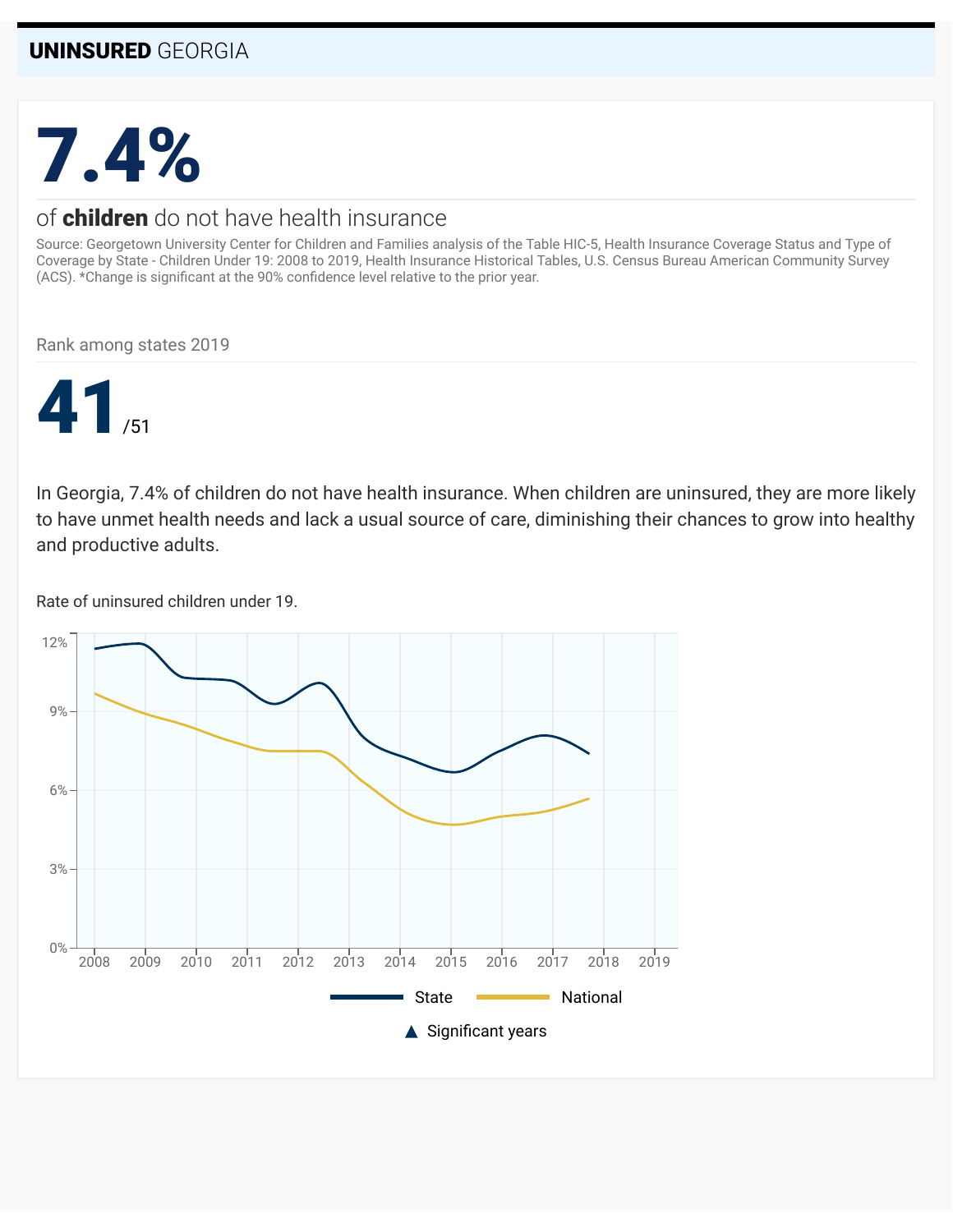# 7.4%

#### of **children** do not have health insurance

Source: Georgetown University Center for Children and Families analysis of the Table HIC-5, Health Insurance Coverage Status and Type of Coverage by State - Children Under 19: 2008 to 2019, Health Insurance Historical Tables, U.S. Census Bureau American Community Survey (ACS). \*Change is significant at the 90% confidence level relative to the prior year.

Rank among states 2019



In Georgia, 7.4% of children do not have health insurance. When children are uninsured, they are more likely to have unmet health needs and lack a usual source of care, diminishing their chances to grow into healthy and productive adults.

Rate of uninsured children under 19.

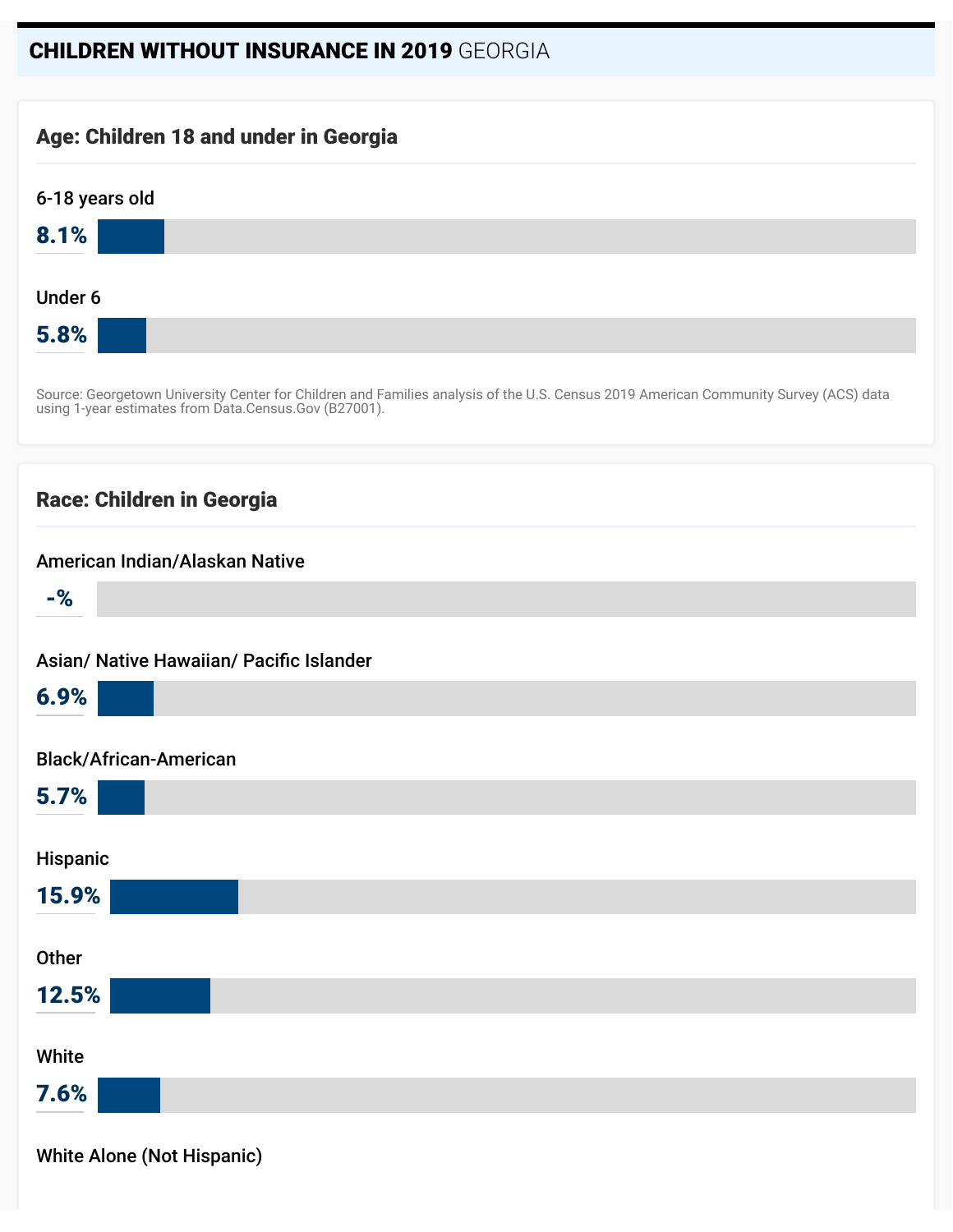#### CHILDREN WITHOUT INSURANCE IN 2019 GEORGIA

#### Age: Children 18 and under in Georgia



Source: Georgetown University Center for Children and Families analysis of the U.S. Census 2019 American Community Survey (ACS) data using 1-year estimates from Data.Census.Gov (B27001).

#### Race: Children in Georgia

| American Indian/Alaskan Native           |
|------------------------------------------|
| $-$ %                                    |
|                                          |
| Asian/ Native Hawaiian/ Pacific Islander |
| 6.9%                                     |
| <b>Black/African-American</b>            |
|                                          |
| 5.7%                                     |
|                                          |
| Hispanic                                 |
| 15.9%                                    |
|                                          |
| Other                                    |
| 12.5%                                    |
|                                          |
| White                                    |
| 7.6%                                     |
|                                          |

White Alone (Not Hispanic)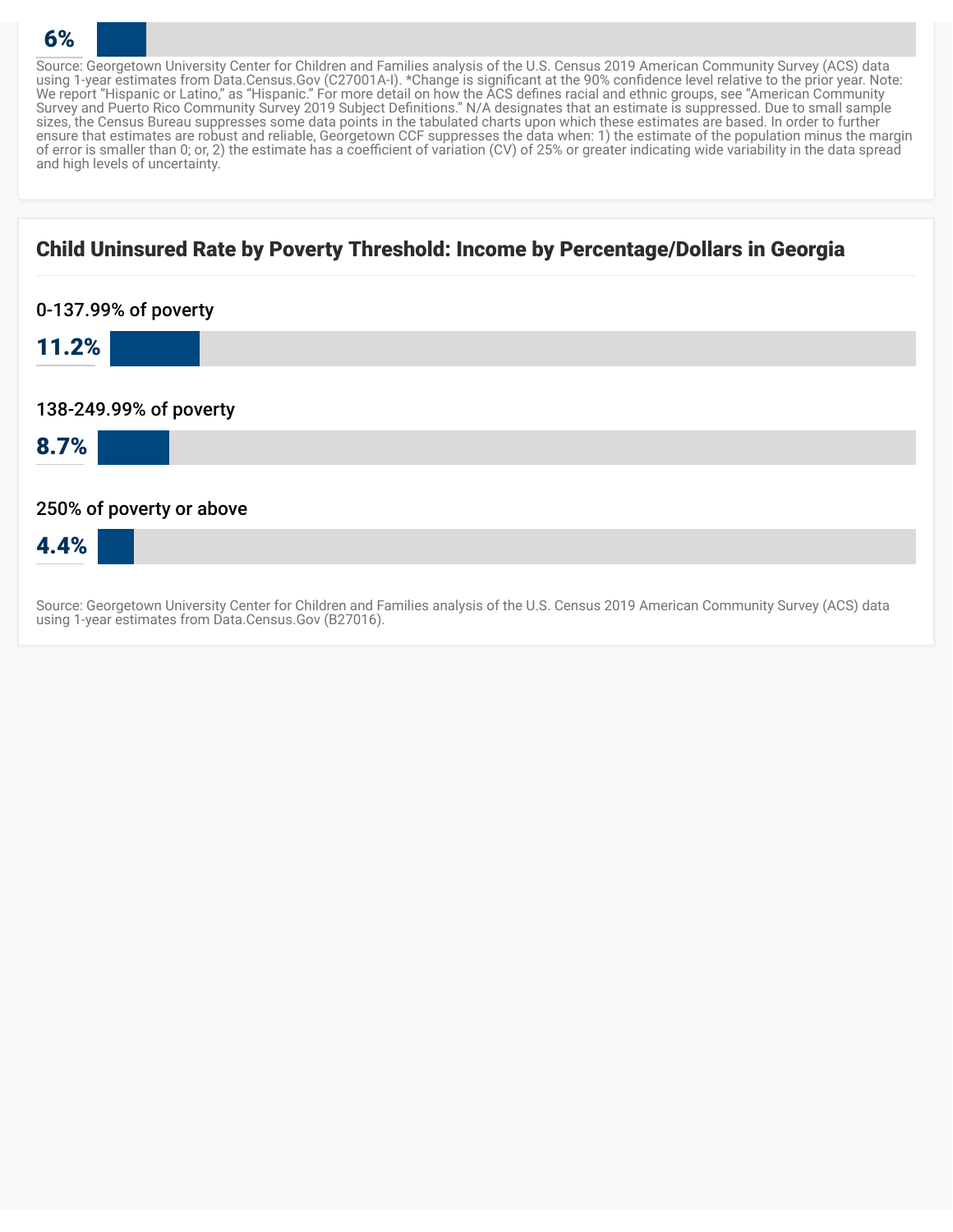Source: Georgetown University Center for Children and Families analysis of the U.S. Census 2019 American Community Survey (ACS) data using 1-year estimates from Data.Census.Gov (C27001A-I). \*Change is significant at the 90% confidence level relative to the prior year. Note: We report "Hispanic or Latino," as "Hispanic." For more detail on how the ACS defines racial and ethnic groups, see "American Community Survey and Puerto Rico Community Survey 2019 Subject Definitions." N/A designates that an estimate is suppressed. Due to small sample sizes, the Census Bureau suppresses some data points in the tabulated charts upon which these estimates are based. In order to further ensure that estimates are robust and reliable, Georgetown CCF suppresses the data when: 1) the estimate of the population minus the margin of error is smaller than 0; or, 2) the estimate has a coefficient of variation (CV) of 25% or greater indicating wide variability in the data spread and high levels of uncertainty.

#### Child Uninsured Rate by Poverty Threshold: Income by Percentage/Dollars in Georgia

6%

| 0-137.99% of poverty     |
|--------------------------|
| 11.2%                    |
|                          |
| 138-249.99% of poverty   |
| 8.7%                     |
|                          |
| 250% of poverty or above |
| 4.4%                     |
|                          |

Source: Georgetown University Center for Children and Families analysis of the U.S. Census 2019 American Community Survey (ACS) data using 1-year estimates from Data.Census.Gov (B27016).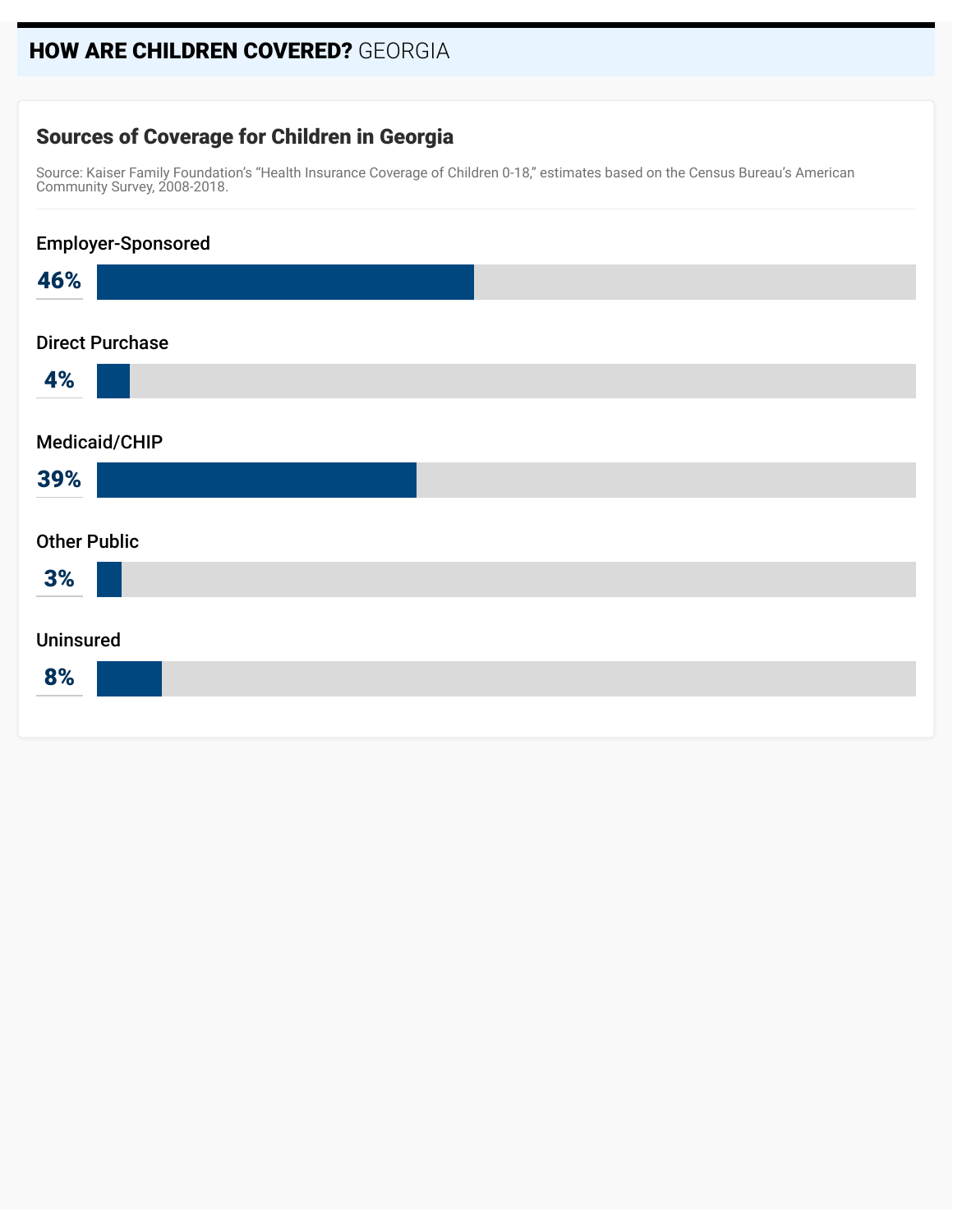#### HOW ARE CHILDREN COVERED? GEORGIA

#### Sources of Coverage for Children in Georgia

Source: Kaiser Family Foundation's "Health Insurance Coverage of Children 0-18," estimates based on the Census Bureau's American Community Survey, 2008-2018.

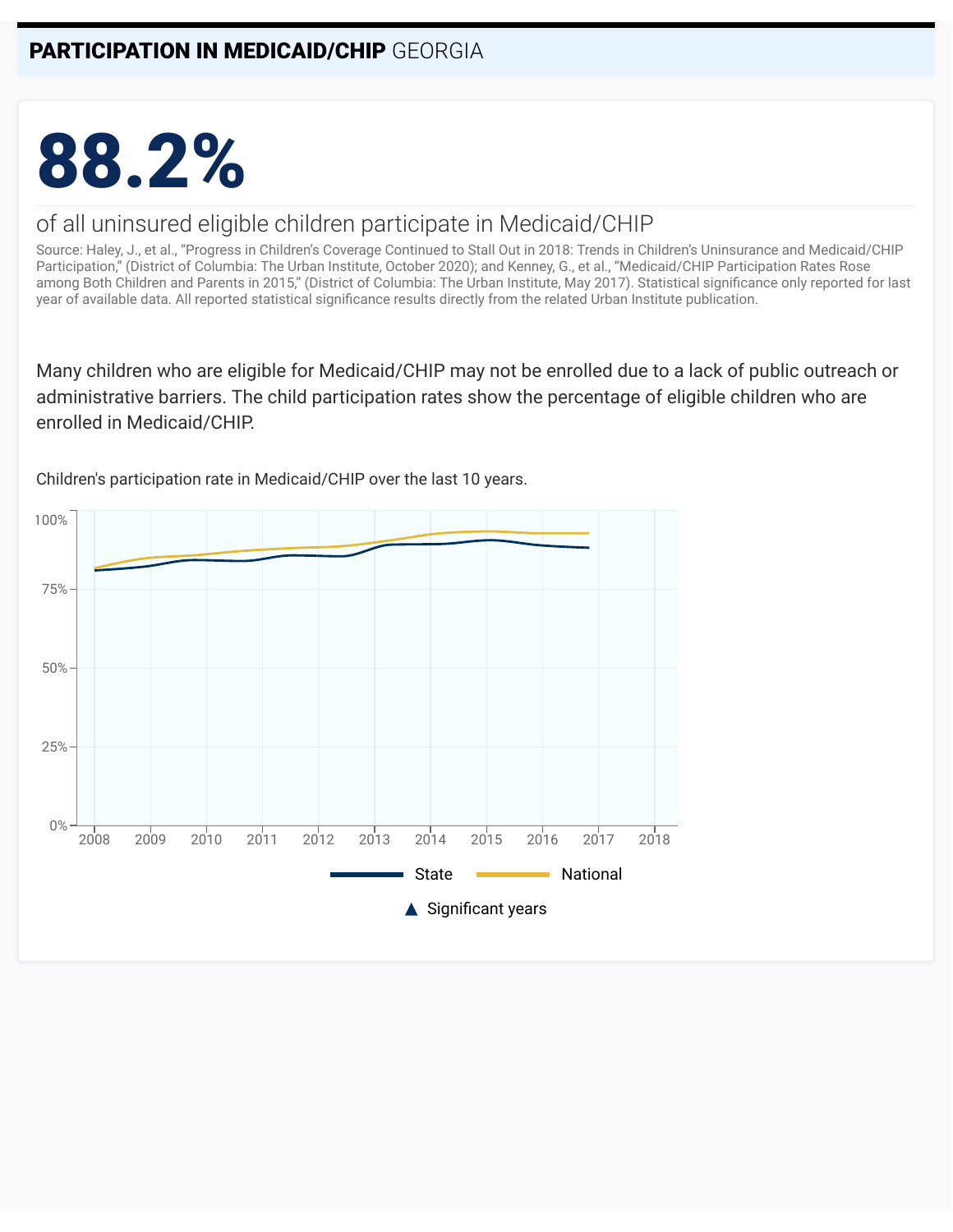# 88.2%

#### of all uninsured eligible children participate in Medicaid/CHIP

Source: Haley, J., et al., "Progress in Children's Coverage Continued to Stall Out in 2018: Trends in Children's Uninsurance and Medicaid/CHIP Participation," (District of Columbia: The Urban Institute, October 2020); and Kenney, G., et al., "Medicaid/CHIP Participation Rates Rose among Both Children and Parents in 2015," (District of Columbia: The Urban Institute, May 2017). Statistical significance only reported for last year of available data. All reported statistical significance results directly from the related Urban Institute publication.

Many children who are eligible for Medicaid/CHIP may not be enrolled due to a lack of public outreach or administrative barriers. The child participation rates show the percentage of eligible children who are enrolled in Medicaid/CHIP.



Children's participation rate in Medicaid/CHIP over the last 10 years.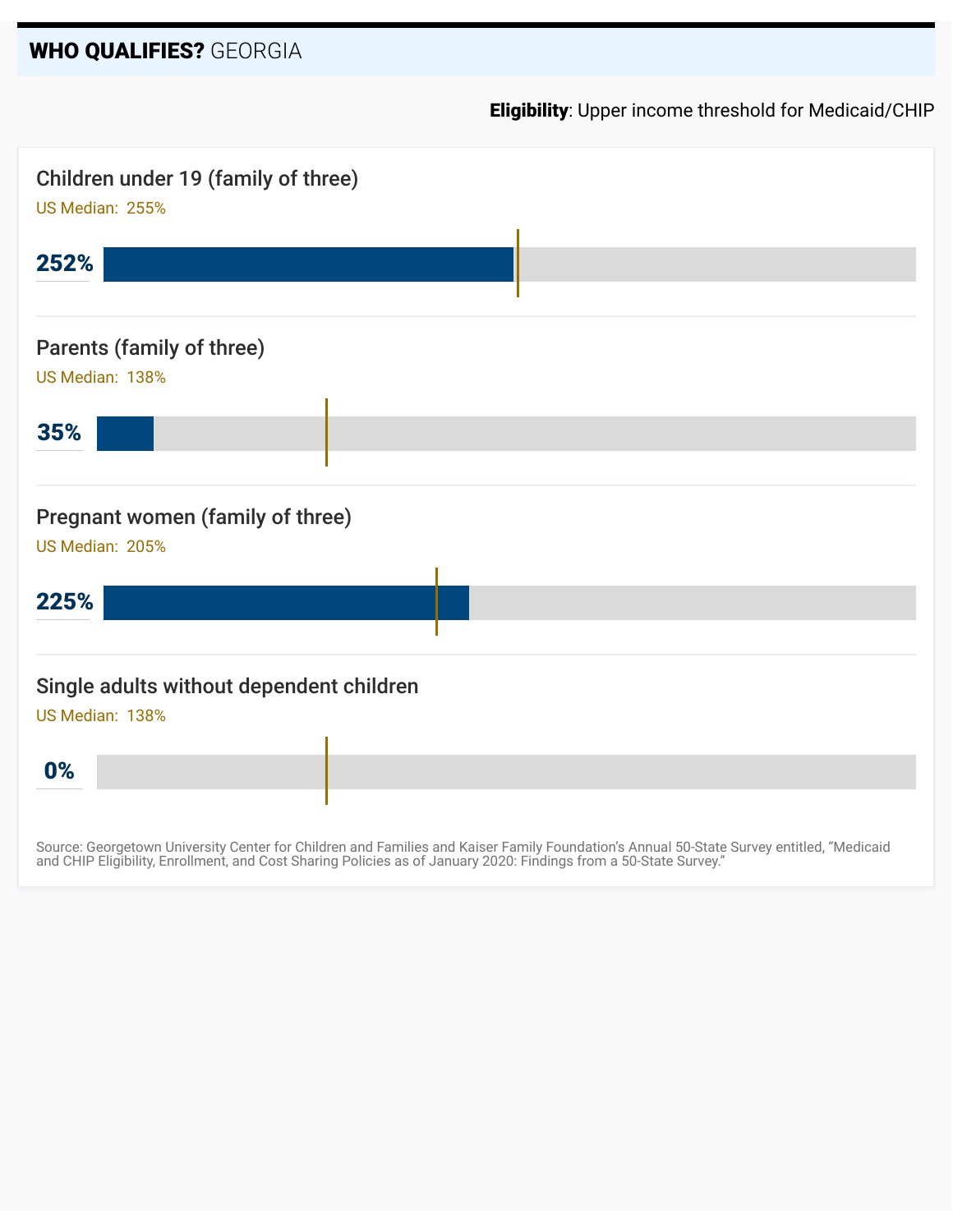#### WHO QUALIFIES? GEORGIA

Eligibility: Upper income threshold for Medicaid/CHIP



Source: Georgetown University Center for Children and Families and Kaiser Family Foundation's Annual 50-State Survey entitled, "Medicaid and CHIP Eligibility, Enrollment, and Cost Sharing Policies as of January 2020: Findings from a 50-State Survey."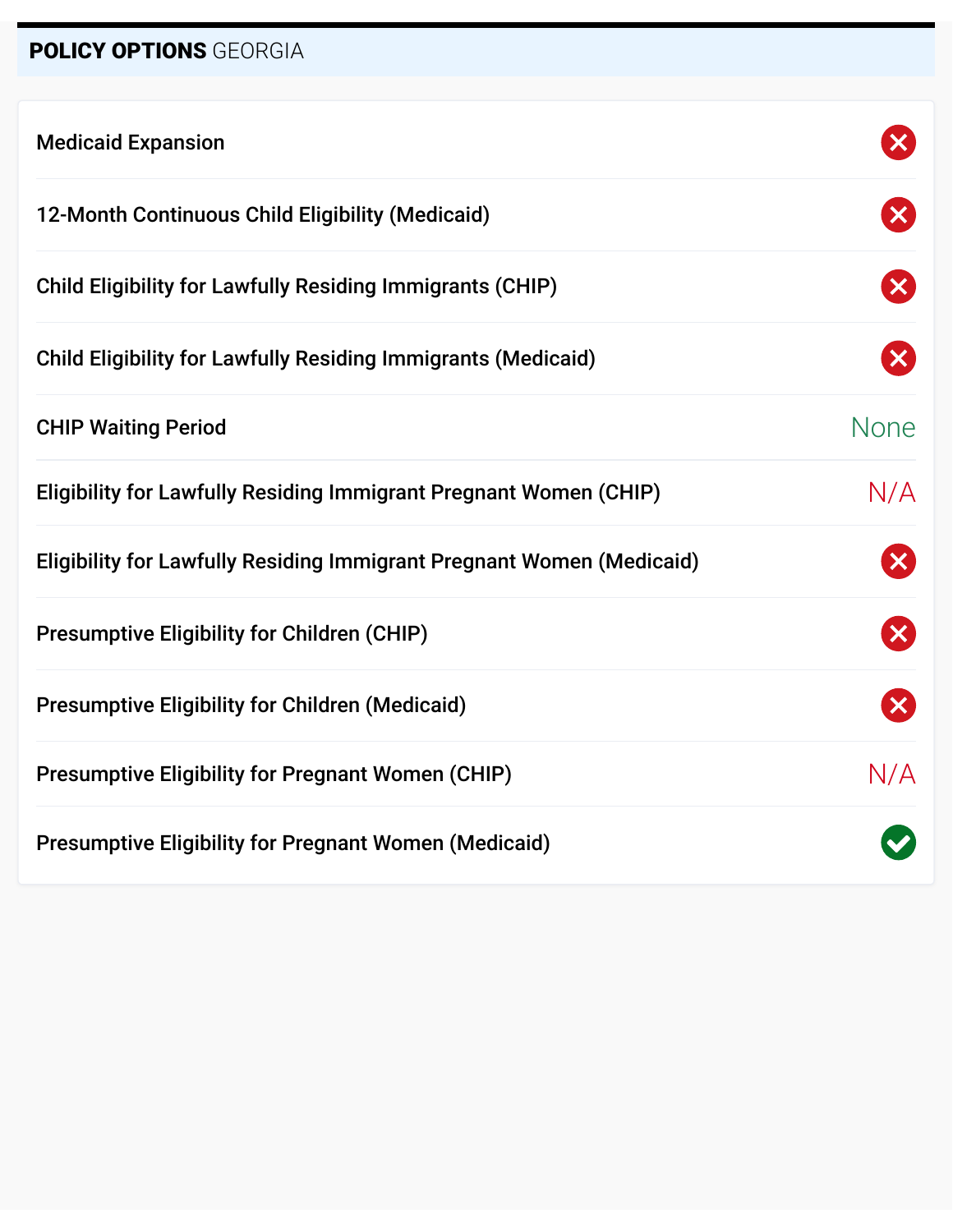# POLICY OPTIONS GEORGIA

| <b>Medicaid Expansion</b>                                                    |                        |
|------------------------------------------------------------------------------|------------------------|
| 12-Month Continuous Child Eligibility (Medicaid)                             | $\mathbf{X}$           |
| <b>Child Eligibility for Lawfully Residing Immigrants (CHIP)</b>             | $\vert\mathsf{X}\vert$ |
| <b>Child Eligibility for Lawfully Residing Immigrants (Medicaid)</b>         | $\mathsf{X}$           |
| <b>CHIP Waiting Period</b>                                                   | <b>None</b>            |
| <b>Eligibility for Lawfully Residing Immigrant Pregnant Women (CHIP)</b>     | N/A                    |
| <b>Eligibility for Lawfully Residing Immigrant Pregnant Women (Medicaid)</b> | $\boldsymbol{\times}$  |
| <b>Presumptive Eligibility for Children (CHIP)</b>                           | $\boldsymbol{\times}$  |
| <b>Presumptive Eligibility for Children (Medicaid)</b>                       | $\mathbf{x}$           |
| <b>Presumptive Eligibility for Pregnant Women (CHIP)</b>                     | N/A                    |
| <b>Presumptive Eligibility for Pregnant Women (Medicaid)</b>                 |                        |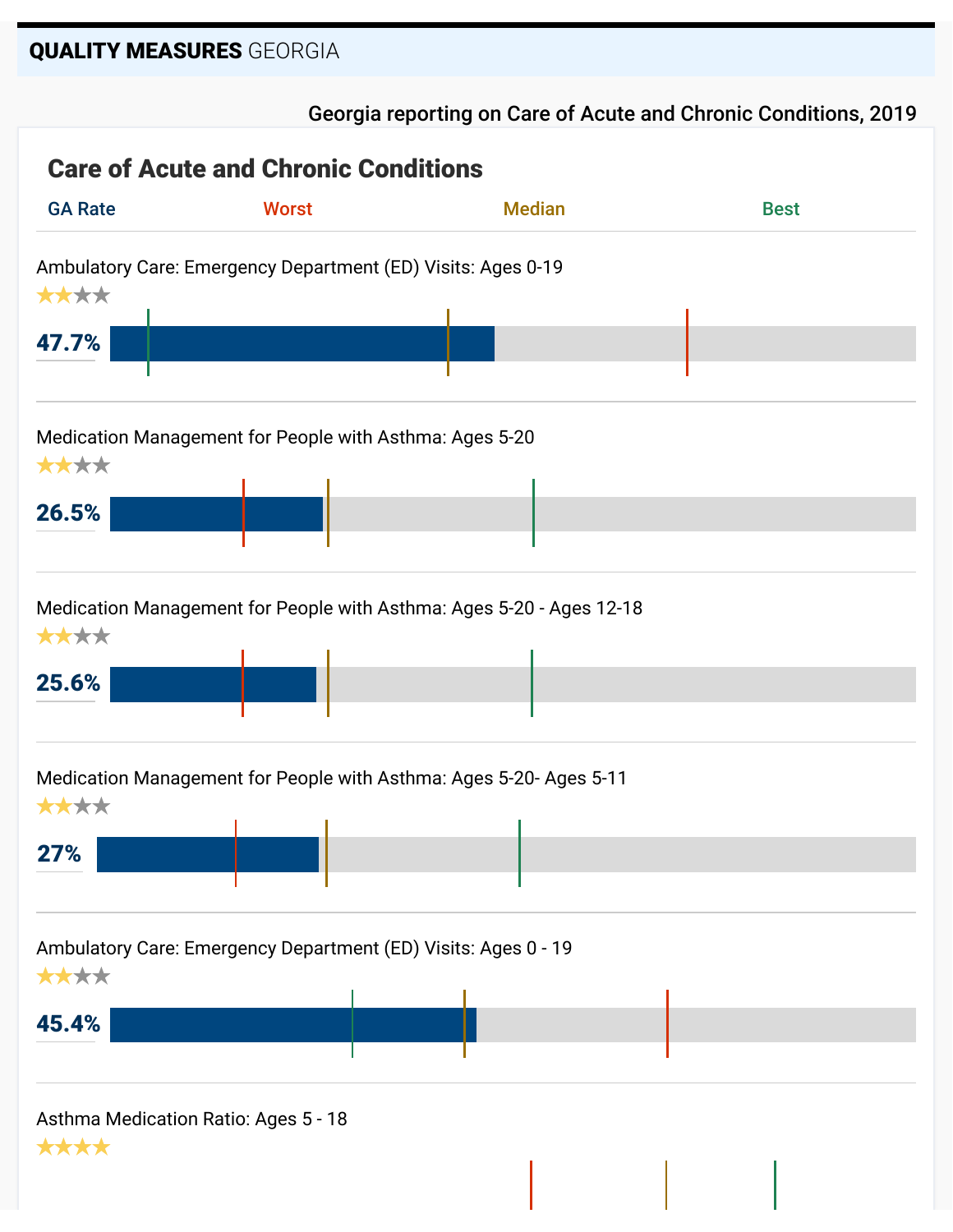#### QUALITY MEASURES GEORGIA

#### Georgia reporting on Care of Acute and Chronic Conditions, 2019

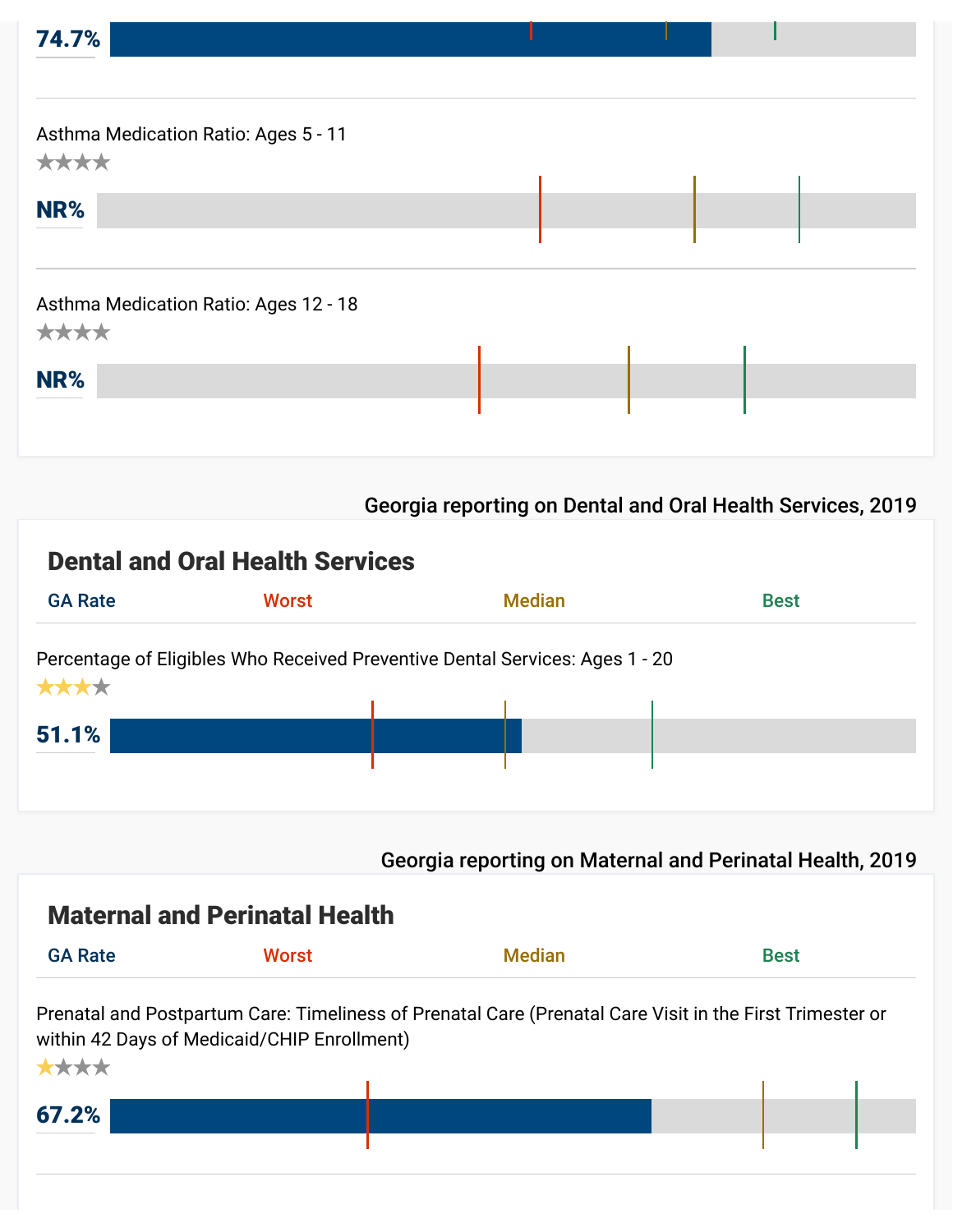| 74.7%                                         |  |  |
|-----------------------------------------------|--|--|
|                                               |  |  |
| Asthma Medication Ratio: Ages 5 - 11<br>****  |  |  |
| NR%                                           |  |  |
|                                               |  |  |
| Asthma Medication Ratio: Ages 12 - 18<br>**** |  |  |
| NR%                                           |  |  |
|                                               |  |  |
|                                               |  |  |

#### Georgia reporting on Dental and Oral Health Services, 2019

## Dental and Oral Health Services



Georgia reporting on Maternal and Perinatal Health, 2019

## Maternal and Perinatal Health

| <b>GA Rate</b> | <b>WORS1</b> | MACUAL, | <b>Best</b> |
|----------------|--------------|---------|-------------|
|                |              |         |             |

Prenatal and Postpartum Care: Timeliness of Prenatal Care (Prenatal Care Visit in the First Trimester or within 42 Days of Medicaid/CHIP Enrollment)

| ****  |  |  |
|-------|--|--|
|       |  |  |
| 67.2% |  |  |
|       |  |  |
|       |  |  |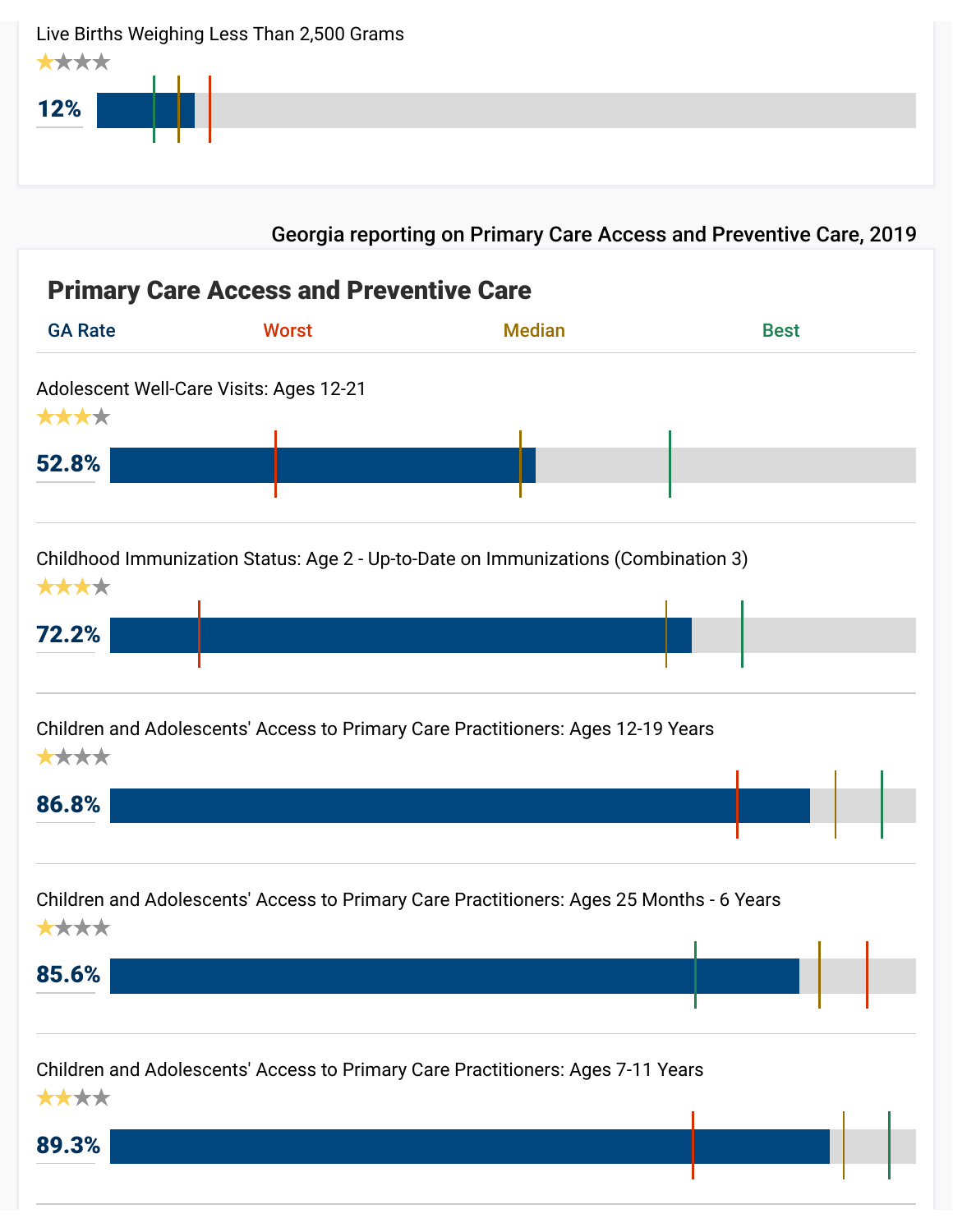| ****<br>12%    | Live Births Weighing Less Than 2,500 Grams     |                                                                                          |             |
|----------------|------------------------------------------------|------------------------------------------------------------------------------------------|-------------|
|                |                                                | Georgia reporting on Primary Care Access and Preventive Care, 2019                       |             |
|                | <b>Primary Care Access and Preventive Care</b> |                                                                                          |             |
| <b>GA Rate</b> | <b>Worst</b>                                   | <b>Median</b>                                                                            | <b>Best</b> |
| ****<br>52.8%  | Adolescent Well-Care Visits: Ages 12-21        |                                                                                          |             |
| ****<br>72.2%  |                                                | Childhood Immunization Status: Age 2 - Up-to-Date on Immunizations (Combination 3)       |             |
| ****<br>86.8%  |                                                | Children and Adolescents' Access to Primary Care Practitioners: Ages 12-19 Years         |             |
| ****<br>85.6%  |                                                | Children and Adolescents' Access to Primary Care Practitioners: Ages 25 Months - 6 Years |             |
|                |                                                | Children and Adolescents' Access to Primary Care Practitioners: Ages 7-11 Years          |             |

/

Ш

89.3% ★★★★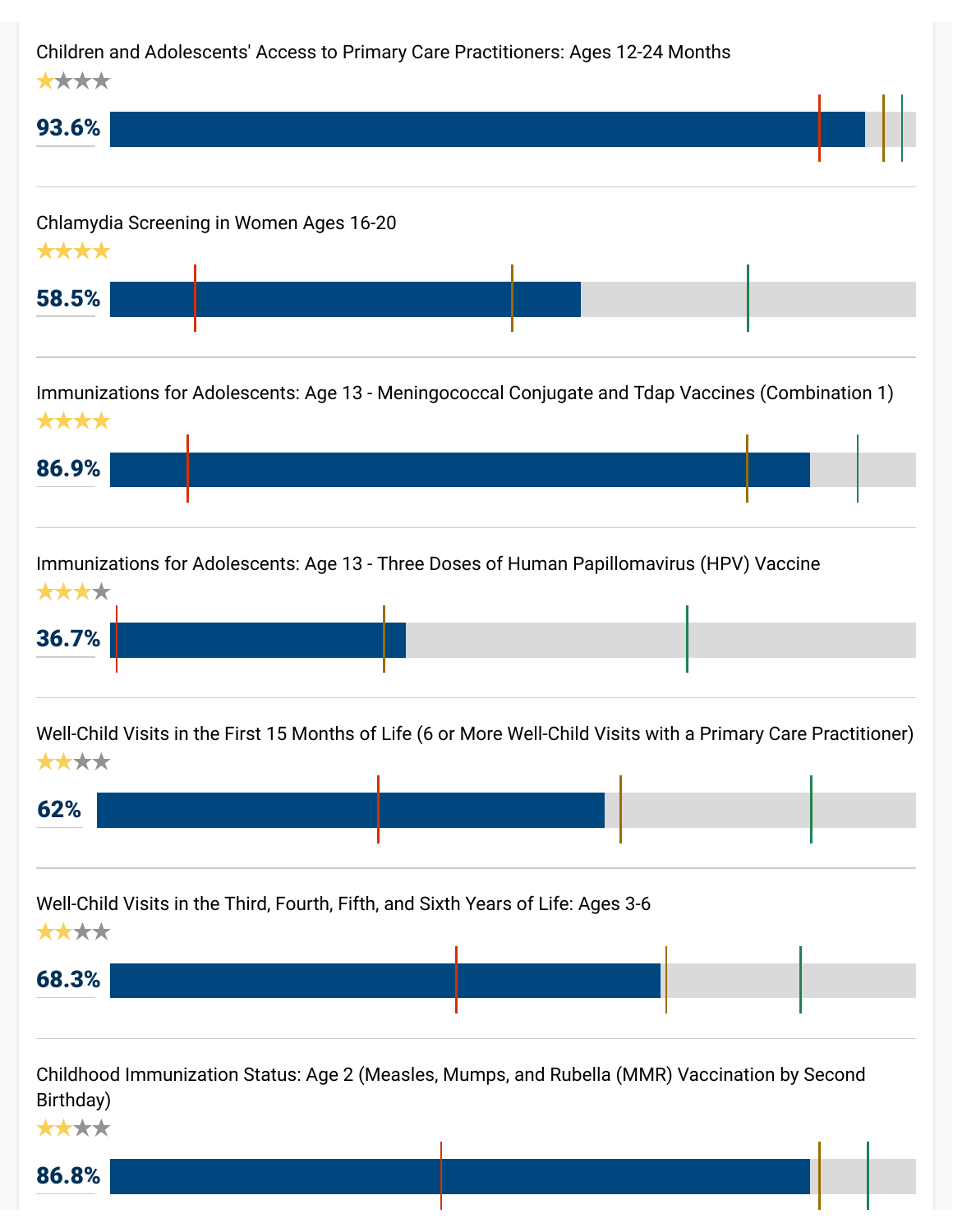#### Children and Adolescents' Access to Primary Care Practitioners: Ages 12-24 Months ★★★★

| 93.6%                                           |  |  |  |
|-------------------------------------------------|--|--|--|
| Chlamydia Screening in Women Ages 16-20<br>**** |  |  |  |
| 58.5%                                           |  |  |  |
|                                                 |  |  |  |

Immunizations for Adolescents: Age 13 - Meningococcal Conjugate and Tdap Vaccines (Combination 1) ★★★★



Immunizations for Adolescents: Age 13 - Three Doses of Human Papillomavirus (HPV) Vaccine ★★★★

| <b>AAAA</b> |  |  |
|-------------|--|--|
|             |  |  |
| 36.7%       |  |  |
|             |  |  |
|             |  |  |

Well-Child Visits in the First 15 Months of Life (6 or More Well-Child Visits with a Primary Care Practitioner) ★★★★

| 62% |  |  |
|-----|--|--|
|     |  |  |

Well-Child Visits in the Third, Fourth, Fifth, and Sixth Years of Life: Ages 3-6 ★★★★



Childhood Immunization Status: Age 2 (Measles, Mumps, and Rubella (MMR) Vaccination by Second Birthday)

86.8% ★★★★